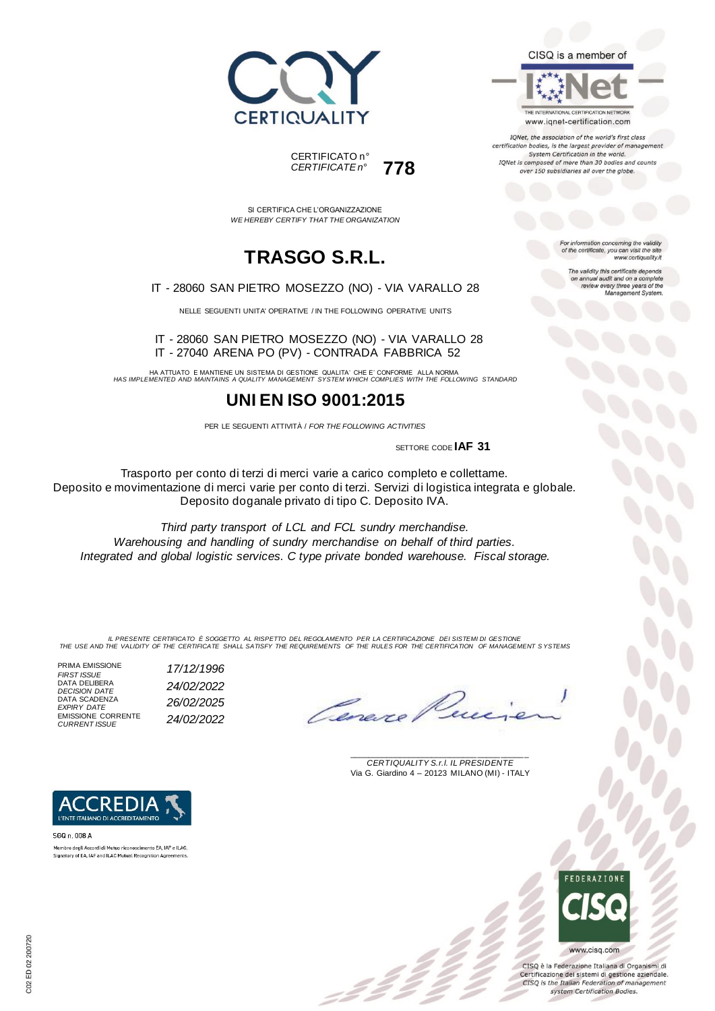



SI CERTIFICA CHE L'ORGANIZZAZIONE *WE HEREBY CERTIFY THAT THE ORGANIZATION*

## **TRASGO S.R.L.**

IT - 28060 SAN PIETRO MOSEZZO (NO) - VIA VARALLO 28

NELLE SEGUENTI UNITA' OPERATIVE / IN THE FOLLOWING OPERATIVE UNITS

IT - 28060 SAN PIETRO MOSEZZO (NO) - VIA VARALLO 28 IT - 27040 ARENA PO (PV) - CONTRADA FABBRICA 52

HA ATTUATO E MANTIENE UN SISTEMA DI GESTIONE QUALITA' CHE E' CONFORME ALLA NORMA *HAS IMPLEMENTED AND MAINTAINS A QUALITY MANAGEMENT SYSTEM WHICH COMPLIES WITH THE FOLLOWING STANDARD*

### **UNI EN ISO 9001:2015**

PER LE SEGUENTI ATTIVITÀ / *FOR THE FOLLOWING ACTIVITIES*

SETTORE CODE **IAF 31**

Trasporto per conto di terzi di merci varie a carico completo e collettame. Deposito e movimentazione di merci varie per conto di terzi. Servizi di logistica integrata e globale. Deposito doganale privato di tipo C. Deposito IVA.

*Third party transport of LCL and FCL sundry merchandise. Warehousing and handling of sundry merchandise on behalf of third parties. Integrated and global logistic services. C type private bonded warehouse. Fiscal storage.*

IL PRESENTE CERTIFICATO E SOGGETTO AL RISPETTO DEL REGOLAMENTO PER LA CERTIFICAZIONE DEI SISTEMI DI GESTIONE<br>THE USE AND THE VALIDITY OF THE CERTIFICATE SHALL SATISFY THE REQUIREMENTS OF THE RULES FOR THE CERTIFICATION OF

PRIMA EMISSIONE<br>FIRST ISSUE DATA DELIBERA *DECISION DATE 24/02/2022* DATA SCADENZA<br>EXPIRY DATE EMISSIONE CORRENTE *CURRENT ISSUE 24/02/2022*

**RED** L'ENTE ITALIANO DI ACCREDITAMENTO

Membro degli Accordi di Mutuo riconoscimento EA, IAF e ILAC. Signatory of EA, IAF and ILAC Mutual Recognition Agreements

SGQ n. 008 A

*FIRST ISSUE 17/12/1996 EXPIRY DATE 26/02/2025*



\_\_\_\_\_\_\_\_\_\_\_\_\_\_\_\_\_\_\_\_\_\_\_\_\_\_\_\_\_\_\_\_\_\_\_\_\_\_\_ *CERTIQUALITY S.r.l. IL PRESIDENTE* Via G. Giardino 4 – 20123 MILANO (MI) - ITALY



CISQ è la Federazione Italiana di Organismi di Certificazione dei sistemi di gestione aziendale. CISQ is the Italian Federation of management system Certification Bodies.



System Certification in the world. IQNet is composed of more than 30 bodies and counts over 150 subsidiaries all over the globe.

> For information concerning the validity<br>of the certificate, you can visit the site www.certiquality.it

The validity this certificate depends on annual audit and on a complete<br>review every three years of the<br>Management System.

CISQ is a member of

THE INTERNATIONAL CERTIFICATION NETWORK

www.iqnet-certification.com IQNet, the association of the world's first class certification bodies, is the largest provider of manageme